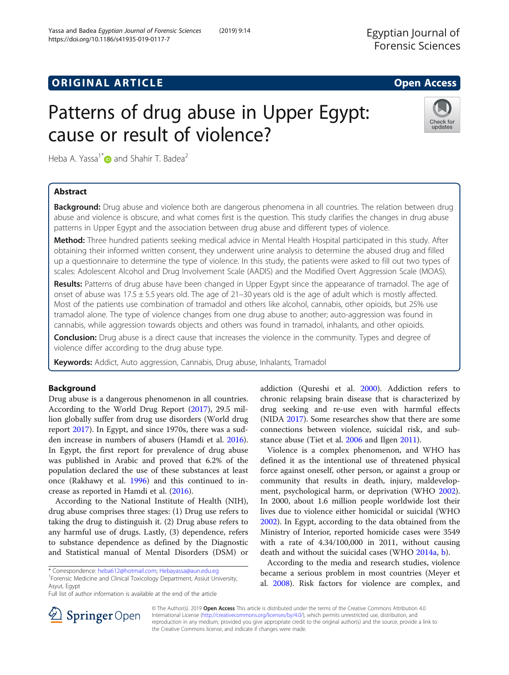## **ORIGINAL ARTICLE CONSERVANCE IN A LOCAL CONSERVANCE IN A LOCAL CONSERVANCE IN A LOCAL CONSERVANCE IN A LOCAL CONS**

# Patterns of drug abuse in Upper Egypt: cause or result of violence?

Heba A. Yassa<sup>1\*</sup> and Shahir T. Badea<sup>2</sup>

## Abstract

Background: Drug abuse and violence both are dangerous phenomena in all countries. The relation between drug abuse and violence is obscure, and what comes first is the question. This study clarifies the changes in drug abuse patterns in Upper Egypt and the association between drug abuse and different types of violence.

Method: Three hundred patients seeking medical advice in Mental Health Hospital participated in this study. After obtaining their informed written consent, they underwent urine analysis to determine the abused drug and filled up a questionnaire to determine the type of violence. In this study, the patients were asked to fill out two types of scales: Adolescent Alcohol and Drug Involvement Scale (AADIS) and the Modified Overt Aggression Scale (MOAS).

Results: Patterns of drug abuse have been changed in Upper Egypt since the appearance of tramadol. The age of onset of abuse was 17.5  $\pm$  5.5 years old. The age of 21–30 years old is the age of adult which is mostly affected. Most of the patients use combination of tramadol and others like alcohol, cannabis, other opioids, but 25% use tramadol alone. The type of violence changes from one drug abuse to another; auto-aggression was found in cannabis, while aggression towards objects and others was found in tramadol, inhalants, and other opioids.

**Conclusion:** Drug abuse is a direct cause that increases the violence in the community. Types and degree of violence differ according to the drug abuse type.

Keywords: Addict, Auto aggression, Cannabis, Drug abuse, Inhalants, Tramadol

## Background

Drug abuse is a dangerous phenomenon in all countries. According to the World Drug Report [\(2017](#page-8-0)), 29.5 million globally suffer from drug use disorders (World drug report [2017\)](#page-8-0). In Egypt, and since 1970s, there was a sudden increase in numbers of abusers (Hamdi et al. [2016](#page-7-0)). In Egypt, the first report for prevalence of drug abuse was published in Arabic and proved that 6.2% of the population declared the use of these substances at least once (Rakhawy et al. [1996\)](#page-7-0) and this continued to increase as reported in Hamdi et al. [\(2016\)](#page-7-0).

According to the National Institute of Health (NIH), drug abuse comprises three stages: (1) Drug use refers to taking the drug to distinguish it. (2) Drug abuse refers to any harmful use of drugs. Lastly, (3) dependence, refers to substance dependence as defined by the Diagnostic and Statistical manual of Mental Disorders (DSM) or

\* Correspondence: [heba612@hotmail.com](mailto:heba612@hotmail.com); [Hebayassa@aun.edu.eg](mailto:Hebayassa@aun.edu.eg) <sup>1</sup>

Forensic Medicine and Clinical Toxicology Department, Assiut University, Asyut, Egypt

Full list of author information is available at the end of the article

addiction (Qureshi et al. [2000\)](#page-7-0). Addiction refers to chronic relapsing brain disease that is characterized by drug seeking and re-use even with harmful effects (NIDA [2017](#page-7-0)). Some researches show that there are some connections between violence, suicidal risk, and substance abuse (Tiet et al. [2006](#page-7-0) and Ilgen [2011](#page-7-0)).

Violence is a complex phenomenon, and WHO has defined it as the intentional use of threatened physical force against oneself, other person, or against a group or community that results in death, injury, maldevelopment, psychological harm, or deprivation (WHO [2002](#page-8-0)). In 2000, about 1.6 million people worldwide lost their lives due to violence either homicidal or suicidal (WHO [2002](#page-8-0)). In Egypt, according to the data obtained from the Ministry of Interior, reported homicide cases were 3549 with a rate of 4.34/100,000 in 2011, without causing death and without the suicidal cases (WHO [2014a](#page-8-0), [b\)](#page-8-0).

According to the media and research studies, violence became a serious problem in most countries (Meyer et al. [2008](#page-7-0)). Risk factors for violence are complex, and

SpringerOpen

© The Author(s). 2019 Open Access This article is distributed under the terms of the Creative Commons Attribution 4.0 International License ([http://creativecommons.org/licenses/by/4.0/\)](http://creativecommons.org/licenses/by/4.0/), which permits unrestricted use, distribution, and reproduction in any medium, provided you give appropriate credit to the original author(s) and the source, provide a link to the Creative Commons license, and indicate if changes were made.

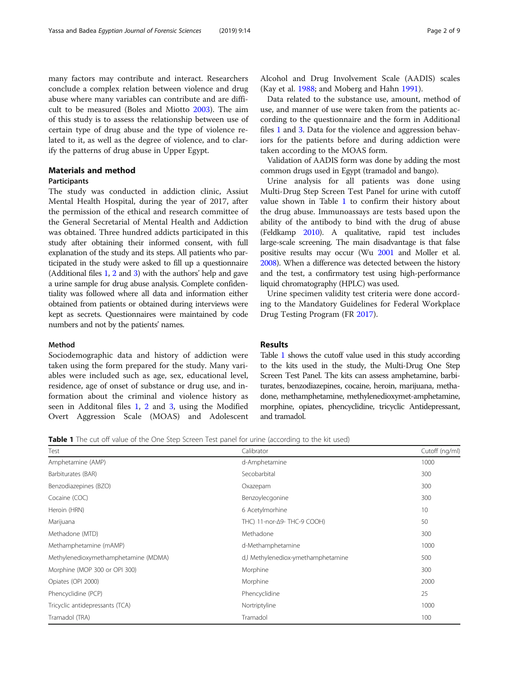many factors may contribute and interact. Researchers conclude a complex relation between violence and drug abuse where many variables can contribute and are difficult to be measured (Boles and Miotto [2003\)](#page-7-0). The aim of this study is to assess the relationship between use of certain type of drug abuse and the type of violence related to it, as well as the degree of violence, and to clarify the patterns of drug abuse in Upper Egypt.

## Materials and method

## **Participants**

The study was conducted in addiction clinic, Assiut Mental Health Hospital, during the year of 2017, after the permission of the ethical and research committee of the General Secretarial of Mental Health and Addiction was obtained. Three hundred addicts participated in this study after obtaining their informed consent, with full explanation of the study and its steps. All patients who participated in the study were asked to fill up a questionnaire (Additional files [1,](#page-6-0) [2](#page-6-0) and [3](#page-6-0)) with the authors' help and gave a urine sample for drug abuse analysis. Complete confidentiality was followed where all data and information either obtained from patients or obtained during interviews were kept as secrets. Questionnaires were maintained by code numbers and not by the patients' names.

## Method

Sociodemographic data and history of addiction were taken using the form prepared for the study. Many variables were included such as age, sex, educational level, residence, age of onset of substance or drug use, and information about the criminal and violence history as seen in Additonal files [1](#page-6-0), [2](#page-6-0) and [3](#page-6-0), using the Modified Overt Aggression Scale (MOAS) and Adolescent Alcohol and Drug Involvement Scale (AADIS) scales (Kay et al. [1988](#page-7-0); and Moberg and Hahn [1991\)](#page-7-0).

Data related to the substance use, amount, method of use, and manner of use were taken from the patients according to the questionnaire and the form in Additional files [1](#page-6-0) and [3](#page-6-0). Data for the violence and aggression behaviors for the patients before and during addiction were taken according to the MOAS form.

Validation of AADIS form was done by adding the most common drugs used in Egypt (tramadol and bango).

Urine analysis for all patients was done using Multi-Drug Step Screen Test Panel for urine with cutoff value shown in Table 1 to confirm their history about the drug abuse. Immunoassays are tests based upon the ability of the antibody to bind with the drug of abuse (Feldkamp [2010\)](#page-7-0). A qualitative, rapid test includes large-scale screening. The main disadvantage is that false positive results may occur (Wu [2001](#page-8-0) and Moller et al. [2008\)](#page-7-0). When a difference was detected between the history and the test, a confirmatory test using high-performance liquid chromatography (HPLC) was used.

Urine specimen validity test criteria were done according to the Mandatory Guidelines for Federal Workplace Drug Testing Program (FR [2017](#page-7-0)).

## Results

Table 1 shows the cutoff value used in this study according to the kits used in the study, the Multi-Drug One Step Screen Test Panel. The kits can assess amphetamine, barbiturates, benzodiazepines, cocaine, heroin, marijuana, methadone, methamphetamine, methylenedioxymet-amphetamine, morphine, opiates, phencyclidine, tricyclic Antidepressant, and tramadol.

**Table 1** The cut off value of the One Step Screen Test panel for urine (according to the kit used)

| Test                                 | Calibrator                         | Cutoff (ng/ml) |
|--------------------------------------|------------------------------------|----------------|
| Amphetamine (AMP)                    | d-Amphetamine                      | 1000           |
| Barbiturates (BAR)                   | Secobarbital                       | 300            |
| Benzodiazepines (BZO)                | Oxazepam                           | 300            |
| Cocaine (COC)                        | Benzoylecgonine                    | 300            |
| Heroin (HRN)                         | 6 Acetylmorhine                    | 10             |
| Marijuana                            | THC) 11-nor-Δ9- THC-9 COOH)        | 50             |
| Methadone (MTD)                      | Methadone                          | 300            |
| Methamphetamine (mAMP)               | d-Methamphetamine                  | 1000           |
| Methylenedioxymethamphetamine (MDMA) | d,I Methylenediox-ymethamphetamine | 500            |
| Morphine (MOP 300 or OPI 300)        | Morphine                           | 300            |
| Opiates (OPI 2000)                   | Morphine                           | 2000           |
| Phencyclidine (PCP)                  | Phencyclidine                      | 25             |
| Tricyclic antidepressants (TCA)      | Nortriptyline                      | 1000           |
| Tramadol (TRA)                       | Tramadol                           | 100            |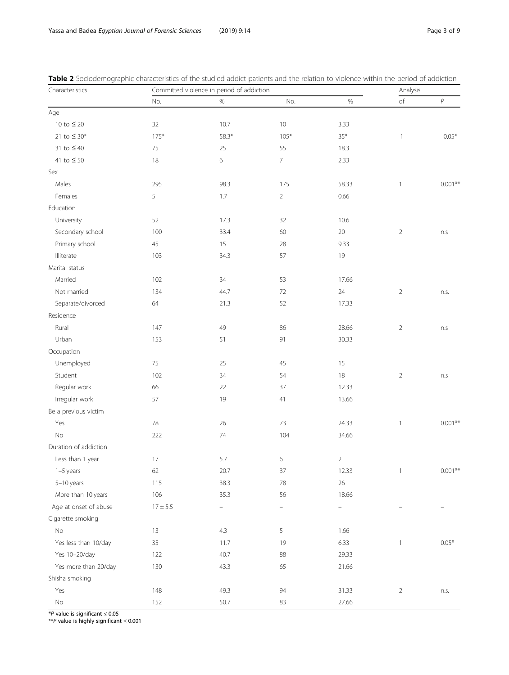| Characteristics         |            | Committed violence in period of addiction |                |                | Analysis       |                  |
|-------------------------|------------|-------------------------------------------|----------------|----------------|----------------|------------------|
|                         | No.        | $\%$                                      | No.            | $\%$           | $\mathsf{df}$  | $\boldsymbol{P}$ |
| Age                     |            |                                           |                |                |                |                  |
| 10 to $\leq$ 20         | 32         | 10.7                                      | $10$           | 3.33           |                |                  |
| 21 to ≤ 30 <sup>*</sup> | $175*$     | $58.3*$                                   | $105*$         | $35*$          | $\mathbf{1}$   | $0.05*$          |
| 31 to $\leq 40$         | $75\,$     | 25                                        | 55             | 18.3           |                |                  |
| 41 to $\leq$ 50         | 18         | 6                                         | $\overline{7}$ | 2.33           |                |                  |
| Sex                     |            |                                           |                |                |                |                  |
| Males                   | 295        | 98.3                                      | 175            | 58.33          | $\mathbf{1}$   | $0.001**$        |
| Females                 | 5          | $1.7\,$                                   | $\overline{2}$ | 0.66           |                |                  |
| Education               |            |                                           |                |                |                |                  |
| University              | 52         | 17.3                                      | 32             | 10.6           |                |                  |
| Secondary school        | 100        | 33.4                                      | 60             | $20\,$         | $\overline{2}$ | n.s              |
| Primary school          | 45         | 15                                        | 28             | 9.33           |                |                  |
| Illiterate              | 103        | 34.3                                      | 57             | 19             |                |                  |
| Marital status          |            |                                           |                |                |                |                  |
| Married                 | 102        | 34                                        | 53             | 17.66          |                |                  |
| Not married             | 134        | 44.7                                      | 72             | 24             | $\overline{2}$ | n.s.             |
| Separate/divorced       | 64         | 21.3                                      | 52             | 17.33          |                |                  |
| Residence               |            |                                           |                |                |                |                  |
| Rural                   | 147        | 49                                        | 86             | 28.66          | $\overline{2}$ | n.s              |
| Urban                   | 153        | 51                                        | 91             | 30.33          |                |                  |
| Occupation              |            |                                           |                |                |                |                  |
| Unemployed              | 75         | 25                                        | 45             | 15             |                |                  |
| Student                 | 102        | 34                                        | 54             | 18             | $\overline{2}$ | n.s              |
| Regular work            | 66         | 22                                        | 37             | 12.33          |                |                  |
| Irregular work          | 57         | 19                                        | 41             | 13.66          |                |                  |
| Be a previous victim    |            |                                           |                |                |                |                  |
| Yes                     | 78         | 26                                        | 73             | 24.33          | $\mathbf{1}$   | $0.001**$        |
| No                      | 222        | 74                                        | 104            | 34.66          |                |                  |
| Duration of addiction   |            |                                           |                |                |                |                  |
| Less than 1 year        | 17         | 5.7                                       | 6              | $\overline{2}$ |                |                  |
| $1-5$ years             | 62         | 20.7                                      | 37             | 12.33          | 1              | $0.001**$        |
| 5-10 years              | 115        | 38.3                                      | 78             | 26             |                |                  |
| More than 10 years      | 106        | 35.3                                      | 56             | 18.66          |                |                  |
| Age at onset of abuse   | $17\pm5.5$ |                                           |                |                |                |                  |
| Cigarette smoking       |            |                                           |                |                |                |                  |
| $\rm No$                | $13$       | 4.3                                       | 5              | 1.66           |                |                  |
| Yes less than 10/day    | 35         | 11.7                                      | 19             | 6.33           | $\mathbf{1}$   | $0.05*$          |
| Yes 10-20/day           | 122        | 40.7                                      | 88             | 29.33          |                |                  |
| Yes more than 20/day    | 130        | 43.3                                      | 65             | 21.66          |                |                  |
| Shisha smoking          |            |                                           |                |                |                |                  |
| Yes                     | 148        | 49.3                                      | 94             | 31.33          | $\overline{2}$ | n.s.             |
| $\mathsf{No}$           | 152        | 50.7                                      | 83             | 27.66          |                |                  |

<span id="page-2-0"></span>Table 2 Sociodemographic characteristics of the studied addict patients and the relation to violence within the period of addiction

\*P value is significant ≤ 0.05<br>\*\*P value is bigbly significar

\*\*P value is highly significant <sup>≤</sup> 0.001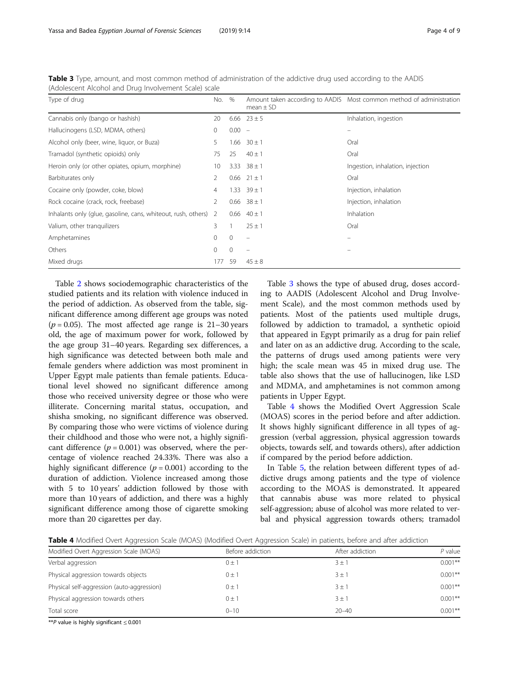| Type of drug                                                    | No.      | %        | $mean \pm SD$            | Amount taken according to AADIS Most common method of administration |
|-----------------------------------------------------------------|----------|----------|--------------------------|----------------------------------------------------------------------|
| Cannabis only (bango or hashish)                                | 20       |          | 6.66 $23 \pm 5$          | Inhalation, ingestion                                                |
| Hallucinogens (LSD, MDMA, others)                               | 0        | $0.00 -$ |                          |                                                                      |
| Alcohol only (beer, wine, liquor, or Buza)                      | 5        | 1.66     | $30 \pm 1$               | Oral                                                                 |
| Tramadol (synthetic opioids) only                               | 75       | 25       | $40 \pm 1$               | Oral                                                                 |
| Heroin only (or other opiates, opium, morphine)                 | 10       | 3.33     | $38 \pm 1$               | Ingestion, inhalation, injection                                     |
| Barbiturates only                                               | 2        |          | $0.66$ $21 \pm 1$        | Oral                                                                 |
| Cocaine only (powder, coke, blow)                               | 4        |          | $1.33$ $39 \pm 1$        | Injection, inhalation                                                |
| Rock cocaine (crack, rock, freebase)                            | 2        |          | $0.66$ 38 ± 1            | Injection, inhalation                                                |
| Inhalants only (glue, gasoline, cans, whiteout, rush, others) 2 |          | 0.66     | $40 \pm 1$               | <b>Inhalation</b>                                                    |
| Valium, other tranquilizers                                     | 3        |          | $25 \pm 1$               | Oral                                                                 |
| Amphetamines                                                    | $\Omega$ | $\Omega$ | $\overline{\phantom{0}}$ |                                                                      |
| Others                                                          | $\Omega$ | $\Omega$ | $\overline{\phantom{0}}$ |                                                                      |
| Mixed drugs                                                     | 177      | 59       | $45 \pm 8$               |                                                                      |

Table 3 Type, amount, and most common method of administration of the addictive drug used according to the AADIS (Adolescent Alcohol and Drug Involvement Scale) scale

Table [2](#page-2-0) shows sociodemographic characteristics of the studied patients and its relation with violence induced in the period of addiction. As observed from the table, significant difference among different age groups was noted ( $p = 0.05$ ). The most affected age range is 21–30 years old, the age of maximum power for work, followed by the age group 31–40 years. Regarding sex differences, a high significance was detected between both male and female genders where addiction was most prominent in Upper Egypt male patients than female patients. Educational level showed no significant difference among those who received university degree or those who were illiterate. Concerning marital status, occupation, and shisha smoking, no significant difference was observed. By comparing those who were victims of violence during their childhood and those who were not, a highly significant difference  $(p = 0.001)$  was observed, where the percentage of violence reached 24.33%. There was also a highly significant difference ( $p = 0.001$ ) according to the duration of addiction. Violence increased among those with 5 to 10 years' addiction followed by those with more than 10 years of addiction, and there was a highly significant difference among those of cigarette smoking more than 20 cigarettes per day.

Table 3 shows the type of abused drug, doses according to AADIS (Adolescent Alcohol and Drug Involvement Scale), and the most common methods used by patients. Most of the patients used multiple drugs, followed by addiction to tramadol, a synthetic opioid that appeared in Egypt primarily as a drug for pain relief and later on as an addictive drug. According to the scale, the patterns of drugs used among patients were very high; the scale mean was 45 in mixed drug use. The table also shows that the use of hallucinogen, like LSD and MDMA, and amphetamines is not common among patients in Upper Egypt.

Table 4 shows the Modified Overt Aggression Scale (MOAS) scores in the period before and after addiction. It shows highly significant difference in all types of aggression (verbal aggression, physical aggression towards objects, towards self, and towards others), after addiction if compared by the period before addiction.

In Table [5,](#page-4-0) the relation between different types of addictive drugs among patients and the type of violence according to the MOAS is demonstrated. It appeared that cannabis abuse was more related to physical self-aggression; abuse of alcohol was more related to verbal and physical aggression towards others; tramadol

Table 4 Modified Overt Aggression Scale (MOAS) (Modified Overt Aggression Scale) in patients, before and after addiction

| Modified Overt Aggression Scale (MOAS)     | Before addiction | After addiction | P value    |
|--------------------------------------------|------------------|-----------------|------------|
| Verbal aggression                          | $0 \pm 1$        | $3 \pm 1$       | $0.001$ ** |
| Physical aggression towards objects        | 0 ± 1            | $3 + 1$         | $0.001$ ** |
| Physical self-aggression (auto-aggression) | $0 \pm 1$        | $3 + 1$         | $0.001$ ** |
| Physical aggression towards others         | $0 \pm 1$        | $3 + 1$         | $0.001$ ** |
| Total score                                | $0 - 10$         | $20 - 40$       | $0.001$ ** |

\*\*P value is highly significant <sup>≤</sup> 0.001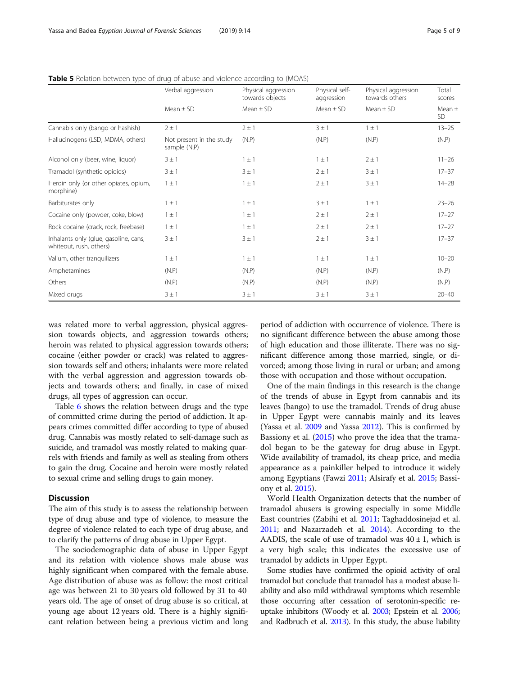|                                                                  | Verbal aggression                        | Physical aggression<br>towards objects | Physical self-<br>aggression | Physical aggression<br>towards others | Total<br>scores         |
|------------------------------------------------------------------|------------------------------------------|----------------------------------------|------------------------------|---------------------------------------|-------------------------|
|                                                                  | Mean $\pm$ SD                            | $Mean \pm SD$                          | $Mean \pm SD$                | $Mean \pm SD$                         | Mean $\pm$<br><b>SD</b> |
| Cannabis only (bango or hashish)                                 | $2 \pm 1$                                | $2 \pm 1$                              | $3 \pm 1$                    | $1 \pm 1$                             | $13 - 25$               |
| Hallucinogens (LSD, MDMA, others)                                | Not present in the study<br>sample (N.P) | (N.P)                                  | (N.P)                        | (N.P)                                 | (N.P)                   |
| Alcohol only (beer, wine, liquor)                                | $3 \pm 1$                                | $1 \pm 1$                              | $1 \pm 1$                    | $2 \pm 1$                             | $11 - 26$               |
| Tramadol (synthetic opioids)                                     | $3 \pm 1$                                | $3 \pm 1$                              | $2 \pm 1$                    | $3 \pm 1$                             | $17 - 37$               |
| Heroin only (or other opiates, opium,<br>morphine)               | $1 \pm 1$                                | $1 \pm 1$                              | $2 \pm 1$                    | 3 ± 1                                 | $14 - 28$               |
| Barbiturates only                                                | $1 \pm 1$                                | $1 \pm 1$                              | $3 \pm 1$                    | $1 \pm 1$                             | $23 - 26$               |
| Cocaine only (powder, coke, blow)                                | $1 \pm 1$                                | $1 \pm 1$                              | $2 \pm 1$                    | $2 \pm 1$                             | $17 - 27$               |
| Rock cocaine (crack, rock, freebase)                             | $1 \pm 1$                                | $1 \pm 1$                              | $2 \pm 1$                    | $2 \pm 1$                             | $17 - 27$               |
| Inhalants only (glue, gasoline, cans,<br>whiteout, rush, others) | $3 \pm 1$                                | $3 \pm 1$                              | $2 \pm 1$                    | 3 ± 1                                 | $17 - 37$               |
| Valium, other tranguilizers                                      | $1 \pm 1$                                | $1 \pm 1$                              | $1 \pm 1$                    | $1 \pm 1$                             | $10 - 20$               |
| Amphetamines                                                     | (N.P)                                    | (N.P)                                  | (N.P)                        | (N.P)                                 | (N.P)                   |
| Others                                                           | (N.P)                                    | (N.P)                                  | (N.P)                        | (N.P)                                 | (N.P)                   |
| Mixed drugs                                                      | $3 \pm 1$                                | 3 ± 1                                  | $3 \pm 1$                    | 3 ± 1                                 | $20 - 40$               |

<span id="page-4-0"></span>Table 5 Relation between type of drug of abuse and violence according to (MOAS)

was related more to verbal aggression, physical aggression towards objects, and aggression towards others; heroin was related to physical aggression towards others; cocaine (either powder or crack) was related to aggression towards self and others; inhalants were more related with the verbal aggression and aggression towards objects and towards others; and finally, in case of mixed drugs, all types of aggression can occur.

Table [6](#page-5-0) shows the relation between drugs and the type of committed crime during the period of addiction. It appears crimes committed differ according to type of abused drug. Cannabis was mostly related to self-damage such as suicide, and tramadol was mostly related to making quarrels with friends and family as well as stealing from others to gain the drug. Cocaine and heroin were mostly related to sexual crime and selling drugs to gain money.

## **Discussion**

The aim of this study is to assess the relationship between type of drug abuse and type of violence, to measure the degree of violence related to each type of drug abuse, and to clarify the patterns of drug abuse in Upper Egypt.

The sociodemographic data of abuse in Upper Egypt and its relation with violence shows male abuse was highly significant when compared with the female abuse. Age distribution of abuse was as follow: the most critical age was between 21 to 30 years old followed by 31 to 40 years old. The age of onset of drug abuse is so critical, at young age about 12 years old. There is a highly significant relation between being a previous victim and long period of addiction with occurrence of violence. There is no significant difference between the abuse among those of high education and those illiterate. There was no significant difference among those married, single, or divorced; among those living in rural or urban; and among those with occupation and those without occupation.

One of the main findings in this research is the change of the trends of abuse in Egypt from cannabis and its leaves (bango) to use the tramadol. Trends of drug abuse in Upper Egypt were cannabis mainly and its leaves (Yassa et al. [2009](#page-8-0) and Yassa [2012\)](#page-8-0). This is confirmed by Bassiony et al. ([2015\)](#page-7-0) who prove the idea that the tramadol began to be the gateway for drug abuse in Egypt. Wide availability of tramadol, its cheap price, and media appearance as a painkiller helped to introduce it widely among Egyptians (Fawzi [2011;](#page-7-0) Alsirafy et al. [2015](#page-7-0); Bassiony et al. [2015\)](#page-7-0).

World Health Organization detects that the number of tramadol abusers is growing especially in some Middle East countries (Zabihi et al. [2011;](#page-8-0) Taghaddosinejad et al. [2011](#page-7-0); and Nazarzadeh et al. [2014](#page-7-0)). According to the AADIS, the scale of use of tramadol was  $40 \pm 1$ , which is a very high scale; this indicates the excessive use of tramadol by addicts in Upper Egypt.

Some studies have confirmed the opioid activity of oral tramadol but conclude that tramadol has a modest abuse liability and also mild withdrawal symptoms which resemble those occurring after cessation of serotonin-specific reuptake inhibitors (Woody et al. [2003;](#page-7-0) Epstein et al. [2006](#page-7-0); and Radbruch et al. [2013](#page-7-0)). In this study, the abuse liability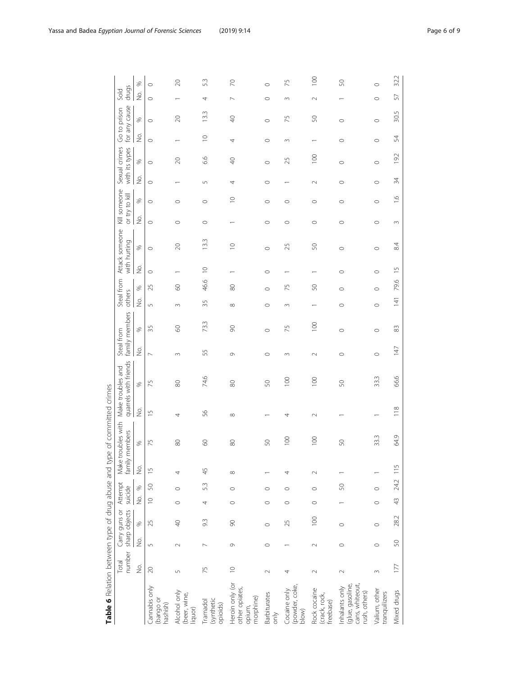<span id="page-5-0"></span>

| Table 6 Relation between type of drug abuse and type of committed crimes |                         |         |                                |                    |             |                          |                          |                   |                       |                            |                  |                      |           |                     |                |                   |                                |                     |                                 |             |                               |                                    |                |
|--------------------------------------------------------------------------|-------------------------|---------|--------------------------------|--------------------|-------------|--------------------------|--------------------------|-------------------|-----------------------|----------------------------|------------------|----------------------|-----------|---------------------|----------------|-------------------|--------------------------------|---------------------|---------------------------------|-------------|-------------------------------|------------------------------------|----------------|
|                                                                          | number<br>Total         |         | sharp objects<br>Carry guns or | Attempt<br>suicide |             | Make t<br>family         | troubles with<br>members | Make troubles and | quarrels with friends | Steal from                 | family members   | Steal from<br>others |           | with hurting        | Attack someone |                   | Kill someone<br>or try to kill |                     | Sexual crimes<br>with its types |             | for any cause<br>Go to prison | drugs<br>Sold                      |                |
|                                                                          | $\frac{\dot{\rm O}}{Z}$ | ğ.      | $\%$                           | $\frac{1}{2}$      | $\%$        | $\stackrel{\circ}{\geq}$ | $\%$                     | $\frac{1}{2}$     | $\%$                  | $\frac{\circ}{\mathsf{Z}}$ | $\%$             | ğ.                   | $\%$      | $\dot{\mathcal{Q}}$ | $\%$           | $\frac{\circ}{2}$ | S,                             | $\dot{\mathcal{Q}}$ | $\%$                            | 2<br>S      | %                             | $\stackrel{\textstyle\circ}{\geq}$ | $\%$           |
| Cannabis only<br>(bango or<br>hashish)                                   | $\gtrsim$               | 5       | 25                             | $\supseteq$        | $\mathbb S$ | $\frac{1}{1}$            | 75                       | $\overline{1}$    | 75                    | $\overline{ }$             | 35               | $\sqrt{2}$           | 25        | $\circ$             | $\circ$        | $\circ$           | $\circ$                        | $\circ$             | $\circ$                         | $\circ$     | $\circ$                       | $\circ$                            | $\circ$        |
| Alcohol only<br>(beer, wine,<br>liquor)                                  | 5                       | $\sim$  | $\sqrt{2}$                     | $\circ$            | $\circ$     |                          | $\otimes$                | 4                 | $\otimes$             | $\sim$                     | $\odot$          | 3                    | $\odot$   |                     | $\gtrsim$      | $\circ$           | $\circ$                        |                     | $\infty$                        |             | $\infty$                      |                                    | $\approx$      |
| (synthetic<br>Tramadol<br>opioids)                                       | 75                      |         | 9.3                            | 4                  | 53          | 45                       | $\infty$                 | 56                | 74.6                  | 55                         | 73.3             | 35                   | 46.6      | $\supseteq$         | 13.3           | $\circ$           | $\circ$                        | 5                   | 6.6                             | $\supseteq$ | 13.3                          | 4                                  | 53             |
| Heroin only (or<br>other opiates,<br>morphine)<br>opium,                 | $\supseteq$             | $\circ$ | 80                             | $\circ$            | $\circ$     | ${}^{\circ}$             | 80                       | ${}^{\circ}$      | $\otimes$             | $\sigma$                   | $\infty$         | $\infty$             | $\otimes$ |                     | $\supseteq$    |                   | $\supseteq$                    | 4                   | $\Theta$                        | 4           | $\Theta$                      | $\sim$                             | $\approx$      |
| <b>Barbiturates</b><br>only                                              | $\sim$                  | $\circ$ | $\circ$                        | $\circ$            | $\circ$     |                          | SO,                      |                   | SO,                   | $\circ$                    | $\circ$          | $\circ$              | $\circ$   | $\circ$             | $\circ$        | $\circ$           | $\circ$                        | $\circ$             | $\circ$                         | $\circ$     | $\circ$                       | $\circ$                            | $\circ$        |
| (powder, coke,<br>Cocaine only<br>blow)                                  | 4                       |         | 25                             | $\circ$            | $\circ$     | 4                        | $\overline{5}$           | 4                 | $\overline{100}$      | $\sim$                     | 75               | $\sim$               | 75        |                     | 25             | $\circ$           | $\circ$                        |                     | 25                              | $\sim$      | 75                            | $\sim$                             | 75             |
| Rock cocaine<br>(crack, rock,<br>freebase)                               | $\scriptstyle\sim$      | $\sim$  | $\overline{100}$               | $\circ$            | $\circ$     | $\sim$                   | $\overline{5}$           | $\sim$            | $\geq$                | $\sim$                     | $\overline{100}$ |                      | 50        |                     | S              | $\circ$           | $\circ$                        | $\sim$              | $\overline{100}$                |             | S                             | $\sim$                             | $\overline{5}$ |
| cans, whiteout,<br>(glue, gasoline,<br>Inhalants only<br>rush, others)   | $\sim$                  | $\circ$ | $\circ$                        |                    | S           |                          | SO,                      |                   | SO,                   | $\circ$                    | $\circ$          | $\circ$              | $\circ$   | $\circ$             | $\circ$        | $\circ$           | $\circ$                        | $\circ$             | $\circ$                         | $\circ$     | $\circ$                       |                                    | S              |
| Valium, other<br>tranquilizers                                           | $\sim$                  | $\circ$ | $\circ$                        | $\circ$            | $\circ$     |                          | 33.3                     |                   | 33.3                  | $\circ$                    | $\circ$          | $\circ$              | $\circ$   | $\circ$             | $\circ$        | $\circ$           | $\circ$                        | $\circ$             | $\circ$                         | $\circ$     | $\circ$                       | $\circ$                            | $\circ$        |
| Mixed drugs                                                              | 177                     | S       | 28.2                           | 43                 | 24.2        | 115                      | 64.9                     | 118               | 66.6                  | 147                        | $\approx$        | 141                  | 79.6      | $\frac{5}{3}$       | 84             | $\sim$            | $\frac{6}{1}$                  | 34                  | 19.2                            | 54          | 30.5                          | 57                                 | 32.2           |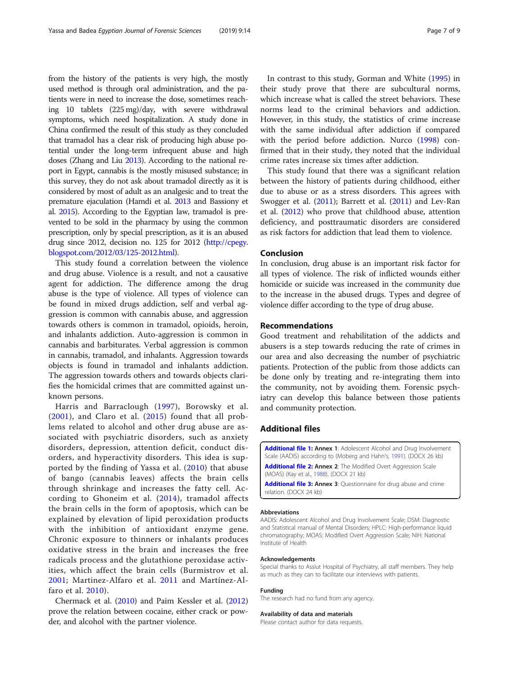<span id="page-6-0"></span>from the history of the patients is very high, the mostly used method is through oral administration, and the patients were in need to increase the dose, sometimes reaching 10 tablets (225 mg)/day, with severe withdrawal symptoms, which need hospitalization. A study done in China confirmed the result of this study as they concluded that tramadol has a clear risk of producing high abuse potential under the long-term infrequent abuse and high doses (Zhang and Liu [2013](#page-8-0)). According to the national report in Egypt, cannabis is the mostly misused substance; in this survey, they do not ask about tramadol directly as it is considered by most of adult as an analgesic and to treat the premature ejaculation (Hamdi et al. [2013](#page-7-0) and Bassiony et al. [2015\)](#page-7-0). According to the Egyptian law, tramadol is prevented to be sold in the pharmacy by using the common prescription, only by special prescription, as it is an abused drug since 2012, decision no. 125 for 2012 [\(http://cpegy.](http://cpegy.blogspot.com/2012/03/125-2012.html) [blogspot.com/2012/03/125-2012.html](http://cpegy.blogspot.com/2012/03/125-2012.html)).

This study found a correlation between the violence and drug abuse. Violence is a result, and not a causative agent for addiction. The difference among the drug abuse is the type of violence. All types of violence can be found in mixed drugs addiction, self and verbal aggression is common with cannabis abuse, and aggression towards others is common in tramadol, opioids, heroin, and inhalants addiction. Auto-aggression is common in cannabis and barbiturates. Verbal aggression is common in cannabis, tramadol, and inhalants. Aggression towards objects is found in tramadol and inhalants addiction. The aggression towards others and towards objects clarifies the homicidal crimes that are committed against unknown persons.

Harris and Barraclough ([1997\)](#page-7-0), Borowsky et al.  $(2001)$  $(2001)$ , and Claro et al.  $(2015)$  $(2015)$  found that all problems related to alcohol and other drug abuse are associated with psychiatric disorders, such as anxiety disorders, depression, attention deficit, conduct disorders, and hyperactivity disorders. This idea is supported by the finding of Yassa et al. ([2010](#page-8-0)) that abuse of bango (cannabis leaves) affects the brain cells through shrinkage and increases the fatty cell. According to Ghoneim et al. ([2014](#page-7-0)), tramadol affects the brain cells in the form of apoptosis, which can be explained by elevation of lipid peroxidation products with the inhibition of antioxidant enzyme gene. Chronic exposure to thinners or inhalants produces oxidative stress in the brain and increases the free radicals process and the glutathione peroxidase activities, which affect the brain cells (Burmistrov et al. [2001](#page-7-0); Martinez-Alfaro et al. [2011](#page-7-0) and Martínez-Alfaro et al. [2010\)](#page-7-0).

Chermack et al. ([2010](#page-7-0)) and Paim Kessler et al. ([2012](#page-7-0)) prove the relation between cocaine, either crack or powder, and alcohol with the partner violence.

In contrast to this study, Gorman and White ([1995](#page-7-0)) in their study prove that there are subcultural norms, which increase what is called the street behaviors. These norms lead to the criminal behaviors and addiction. However, in this study, the statistics of crime increase with the same individual after addiction if compared with the period before addiction. Nurco [\(1998](#page-7-0)) confirmed that in their study, they noted that the individual crime rates increase six times after addiction.

This study found that there was a significant relation between the history of patients during childhood, either due to abuse or as a stress disorders. This agrees with Swogger et al. [\(2011](#page-7-0)); Barrett et al. [\(2011\)](#page-7-0) and Lev-Ran et al. ([2012](#page-7-0)) who prove that childhood abuse, attention deficiency, and posttraumatic disorders are considered as risk factors for addiction that lead them to violence.

## Conclusion

In conclusion, drug abuse is an important risk factor for all types of violence. The risk of inflicted wounds either homicide or suicide was increased in the community due to the increase in the abused drugs. Types and degree of violence differ according to the type of drug abuse.

## Recommendations

Good treatment and rehabilitation of the addicts and abusers is a step towards reducing the rate of crimes in our area and also decreasing the number of psychiatric patients. Protection of the public from those addicts can be done only by treating and re-integrating them into the community, not by avoiding them. Forensic psychiatry can develop this balance between those patients and community protection.

#### Additional files

[Additional file 1:](https://doi.org/10.1186/s41935-019-0117-7) Annex 1: Adolescent Alcohol and Drug Involvement Scale (AADIS) according to (Moberg and Hahn's, [1991](#page-7-0)). (DOCX 26 kb) [Additional file 2:](https://doi.org/10.1186/s41935-019-0117-7) Annex 2: The Modified Overt Aggression Scale (MOAS) (Kay et al., [1988](#page-7-0)). (DOCX 21 kb)

[Additional file 3:](https://doi.org/10.1186/s41935-019-0117-7) Annex 3: Questionnaire for drug abuse and crime relation. (DOCX 24 kb)

#### Abbreviations

AADIS: Adolescent Alcohol and Drug Involvement Scale; DSM: Diagnostic and Statistical manual of Mental Disorders; HPLC: High-performance liquid chromatography; MOAS: Modified Overt Aggression Scale; NIH: National Institute of Health

#### Acknowledgements

Special thanks to Assiut Hospital of Psychiatry, all staff members. They help as much as they can to facilitate our interviews with patients.

#### Funding

The research had no fund from any agency.

#### Availability of data and materials

Please contact author for data requests.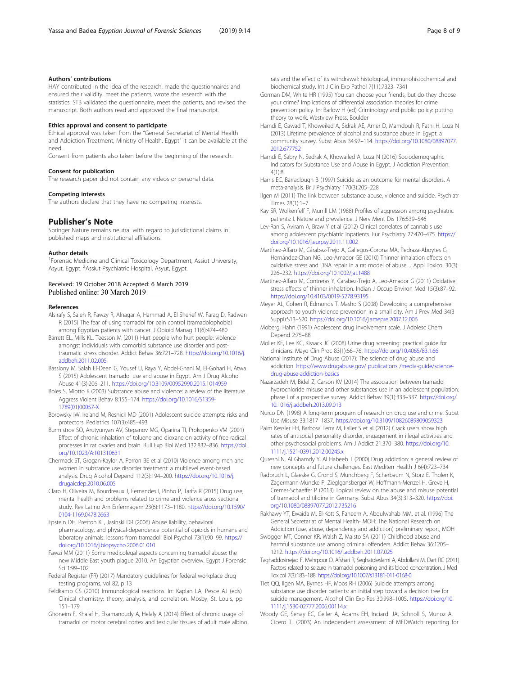## <span id="page-7-0"></span>Authors' contributions

HAY contributed in the idea of the research, made the questionnaires and ensured their validity, meet the patients, wrote the research with the statistics. STB validated the questionnaire, meet the patients, and revised the manuscript. Both authors read and approved the final manuscript.

#### Ethics approval and consent to participate

Ethical approval was taken from the "General Secretariat of Mental Health and Addiction Treatment, Ministry of Health, Egypt" it can be available at the need.

Consent from patients also taken before the beginning of the research.

#### Consent for publication

The research paper did not contain any videos or personal data.

#### Competing interests

The authors declare that they have no competing interests.

#### Publisher's Note

Springer Nature remains neutral with regard to jurisdictional claims in published maps and institutional affiliations.

#### Author details

<sup>1</sup> Forensic Medicine and Clinical Toxicology Department, Assiut University, Asyut, Egypt. <sup>2</sup>Assiut Psychiatric Hospital, Asyut, Egypt.

### Received: 19 October 2018 Accepted: 6 March 2019 Published online: 30 March 2019

#### References

- Alsirafy S, Saleh R, Fawzy R, Alnagar A, Hammad A, El Sherief W, Farag D, Radwan R (2015) The fear of using tramadol for pain control (tramadolophobia) among Egyptian patients with cancer. J Opioid Manag 11(6):474–480
- Barrett EL, Mills KL, Teesson M (2011) Hurt people who hurt people: violence amongst individuals with comorbid substance use disorder and posttraumatic stress disorder. Addict Behav 36:721–728. [https://doi.org/10.1016/j.](https://doi.org/10.1016/j.addbeh.2011.02.005) [addbeh.2011.02.005](https://doi.org/10.1016/j.addbeh.2011.02.005)
- Bassiony M, Salah El-Deen G, Yousef U, Raya Y, Abdel-Ghani M, El-Gohari H, Atwa S (2015) Adolescent tramadol use and abuse in Egypt. Am J Drug Alcohol Abuse 41(3):206–211. <https://doi.org/10.3109/00952990.2015.1014959>
- Boles S, Miotto K (2003) Substance abuse and violence: a review of the literature. Aggress Violent Behav 8:155–174. [https://doi.org/10.1016/S1359-](https://doi.org/10.1016/S1359-1789(01)00057-X) [1789\(01\)00057-X](https://doi.org/10.1016/S1359-1789(01)00057-X)
- Borowsky IW, Ireland M, Resnick MD (2001) Adolescent suicide attempts: risks and protectors. Pediatrics 107(3):485–493
- Burmistrov SO, Arutyunyan AV, Stepanov MG, Oparina TI, Prokopenko VM (2001) Effect of chronic inhalation of toluene and dioxane on activity of free radical processes in rat ovaries and brain. Bull Exp Biol Med 132:832–836. [https://doi.](https://doi.org/10.1023/A:101310631) [org/10.1023/A:101310631](https://doi.org/10.1023/A:101310631)
- Chermack ST, Grogan-Kaylor A, Perron BE et al (2010) Violence among men and women in substance use disorder treatment: a multilevel event-based analysis. Drug Alcohol Depend 112(3):194–200. [https://doi.org/10.1016/j.](https://doi.org/10.1016/j.drugalcdep.2010.06.005) [drugalcdep.2010.06.005](https://doi.org/10.1016/j.drugalcdep.2010.06.005)
- Claro H, Oliveira M, Bourdreaux J, Fernandes I, Pinho P, Tarifa R (2015) Drug use, mental health and problems related to crime and violence aross sectional study. Rev Latino Am Enfermagem 23(6):1173–1180. [https://doi.org/10.1590/](https://doi.org/10.1590/0104-1169.0478.2663) [0104-1169.0478.2663](https://doi.org/10.1590/0104-1169.0478.2663)
- Epstein DH, Preston KL, Jasinski DR (2006) Abuse liability, behavioral pharmacology, and physical-dependence potential of opioids in humans and laboratory animals: lessons from tramadol. Biol Psychol 73(1):90–99. [https://](https://doi.org/10.1016/j.biopsycho.2006.01.010) [doi.org/10.1016/j.biopsycho.2006.01.010](https://doi.org/10.1016/j.biopsycho.2006.01.010)
- Fawzi MM (2011) Some medicolegal aspects concerning tramadol abuse: the new Middle East youth plague 2010. An Egyptian overview. Egypt J Forensic Sci 1:99–102
- Federal Register (FR) (2017) Mandatory guidelines for federal workplace drug testing programs, vol 82, p 13
- Feldkamp CS (2010) Immunological reactions. In: Kaplan LA, Pesce AJ (eds) Clinical chemistry: theory, analysis, and correlation. Mosby, St. Louis, pp 151–179
- Ghoneim F, Khalaf H, Elsamanoudy A, Helaly A (2014) Effect of chronic usage of tramadol on motor cerebral cortex and testicular tissues of adult male albino

rats and the effect of its withdrawal: histological, immunohistochemical and biochemical study. Int J Clin Exp Pathol 7(11):7323–7341

- Gorman DM, White HR (1995) You can choose your friends, but do they choose your crime? Implications of differential association theories for crime prevention policy. In: Barlow H (ed) Criminology and public policy: putting theory to work. Westview Press, Boulder
- Hamdi E, Gawad T, Khoweiled A, Sidrak AE, Amer D, Mamdouh R, Fathi H, Loza N (2013) Lifetime prevalence of alcohol and substance abuse in Egypt: a community survey. Subst Abus 34:97–114. [https://doi.org/10.1080/08897077.](https://doi.org/10.1080/08897077.2012.677752) [2012.677752](https://doi.org/10.1080/08897077.2012.677752)
- Hamdi E, Sabry N, Sedrak A, Khowailed A, Loza N (2016) Sociodemographic Indicators for Substance Use and Abuse in Egypt. J Addiction Prevention. 4(1):8
- Harris EC, Barraclough B (1997) Suicide as an outcome for mental disorders. A meta-analysis. Br J Psychiatry 170(3):205–228
- Ilgen M (2011) The link between substance abuse, violence and suicide. Psychiatr Times 28(1):1–7
- Kay SR, Wolkenfelf F, Murrill LM (1988) Profiles of aggression among psychiatric patients: I. Nature and prevalence. J Nerv Ment Dis 176:539–546
- Lev-Ran S, Aviram A, Braw Y et al (2012) Clinical correlates of cannabis use among adolescent psychiatric inpatients. Eur Psychiatry 27:470–475. [https://](https://doi.org/10.1016/j.eurpsy.2011.11.002) [doi.org/10.1016/j.eurpsy.2011.11.002](https://doi.org/10.1016/j.eurpsy.2011.11.002)
- Martínez-Alfaro M, Cárabez-Trejo A, Gallegos-Corona MA, Pedraza-Aboytes G, Hernández-Chan NG, Leo-Amador GE (2010) Thinner inhalation effects on oxidative stress and DNA repair in a rat model of abuse. J Appl Toxicol 30(3): 226–232. <https://doi.org/10.1002/jat.1488>
- Martinez-Alfaro M, Contreras Y, Carabez-Trejo A, Leo-Amador G (2011) Oxidative stress effects of thinner inhalation. Indian J Occup Environ Med 15(3):87–92. <https://doi.org/10.4103/0019-5278.93195>
- Meyer AL, Cohen R, Edmonds T, Masho S (2008) Developing a comprehensive approach to youth violence prevention in a small city. Am J Prev Med 34(3 Suppl):S13–S20. <https://doi.org/10.1016/j.amepre.2007.12.006>
- Moberg, Hahn (1991) Adolescent drug involvement scale. J Adolesc Chem Depend 2:75–88
- Moller KE, Lee KC, Kissack JC (2008) Urine drug screening: practical guide for clinicians. Mayo Clin Proc 83(1):66–76. <https://doi.org/10.4065/83.1.66>
- National Institute of Drug Abuse (2017): The science of drug abuse and addiction. [https://www.drugabuse.gov/ publications /media-guide/science](https://www.drugabuse.gov/%20publications%20/media-guide/science-drug-abuse-addiction-basics)[drug-abuse-addiction-basics](https://www.drugabuse.gov/%20publications%20/media-guide/science-drug-abuse-addiction-basics)
- Nazarzadeh M, Bidel Z, Carson KV (2014) The association between tramadol hydrochloride misuse and other substances use in an adolescent population: phase I of a prospective survey. Addict Behav 39(1):333–337. [https://doi.org/](https://doi.org/10.1016/j.addbeh.2013.09.013) [10.1016/j.addbeh.2013.09.013](https://doi.org/10.1016/j.addbeh.2013.09.013)
- Nurco DN (1998) A long-term program of research on drug use and crime. Subst Use Misuse 33:1817–1837. <https://doi.org/10.3109/10826089809059323>
- Paim Kessler FH, Barbosa Terra M, Faller S et al (2012) Crack users show high rates of antisocial personality disorder, engagement in illegal activities and other psychosocial problems. Am J Addict 21:370–380. [https://doi.org/10.](https://doi.org/10.1111/j.1521-0391.2012.00245.x) [1111/j.1521-0391.2012.00245.x](https://doi.org/10.1111/j.1521-0391.2012.00245.x)
- Qureshi N, Al Ghamdy Y, Al Habeeb T (2000) Drug addiction: a general review of new concepts and future challenges. East Mediterr Health J 6(4):723–734
- Radbruch L, Glaeske G, Grond S, Munchberg F, Scherbaum N, Storz E, Tholen K, Zagermann-Muncke P, Zieglgansberger W, Hoffmann-Menzel H, Greve H, Cremer-Schaeffer P (2013) Topical review on the abuse and misuse potential of tramadol and tilidine in Germany. Subst Abus 34(3):313–320. [https://doi.](https://doi.org/10.1080/08897077.2012.735216) [org/10.1080/08897077.2012.735216](https://doi.org/10.1080/08897077.2012.735216)
- Rakhawy YT, Ewaida M, El-Kott S, Faheem A, Abdulwahab MM, et al. (1996) The General Secretariat of Mental Health- MOH: The National Research on Addiction (use, abuse, dependency and addiction) preliminary report, MOH
- Swogger MT, Conner KR, Walsh Z, Maisto SA (2011) Childhood abuse and harmful substance use among criminal offenders. Addict Behav 36:1205– 1212. <https://doi.org/10.1016/j.addbeh.2011.07.025>
- Taghaddosinejad F, Mehrpour O, Afshari R, Seghatoleslami A, Abdollahi M, Dart RC (2011) Factors related to seizure in tramadol poisoning and its blood concentration. J Med Toxicol 7(3):183–188. <https://doi.org/10.1007/s13181-011-0168-0>
- Tiet QQ, Ilgen MA, Byrnes HF, Moos RH (2006) Suicide attempts among substance use disorder patients: an initial step toward a decision tree for suicide management. Alcohol Clin Exp Res 30:998–1005. [https://doi.org/10.](https://doi.org/10.1111/j.1530-02777.2006.00114.x) [1111/j.1530-02777.2006.00114.x](https://doi.org/10.1111/j.1530-02777.2006.00114.x)
- Woody GE, Senay EC, Geller A, Adams EH, Inciardi JA, Schnoll S, Munoz A, Cicero TJ (2003) An independent assessment of MEDWatch reporting for